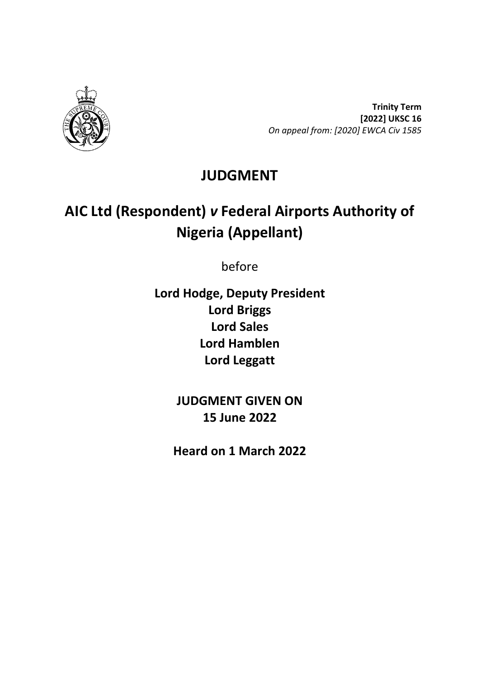

**Trinity Term [2022] UKSC 16** *On appeal from: [2020] EWCA Civ 1585*

# **JUDGMENT**

# **AIC Ltd (Respondent)** *v* **Federal Airports Authority of Nigeria (Appellant)**

before

**Lord Hodge, Deputy President Lord Briggs Lord Sales Lord Hamblen Lord Leggatt**

> **JUDGMENT GIVEN ON 15 June 2022**

**Heard on 1 March 2022**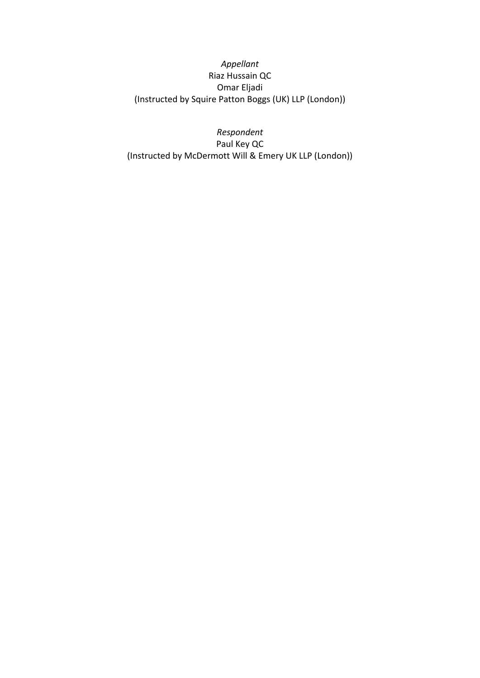*Appellant* Riaz Hussain QC Omar Eljadi (Instructed by Squire Patton Boggs (UK) LLP (London))

*Respondent* Paul Key QC (Instructed by McDermott Will & Emery UK LLP (London))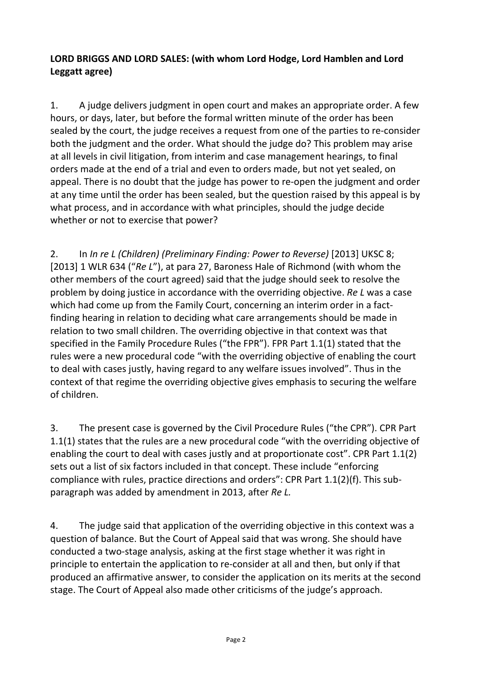#### **LORD BRIGGS AND LORD SALES: (with whom Lord Hodge, Lord Hamblen and Lord Leggatt agree)**

1. A judge delivers judgment in open court and makes an appropriate order. A few hours, or days, later, but before the formal written minute of the order has been sealed by the court, the judge receives a request from one of the parties to re-consider both the judgment and the order. What should the judge do? This problem may arise at all levels in civil litigation, from interim and case management hearings, to final orders made at the end of a trial and even to orders made, but not yet sealed, on appeal. There is no doubt that the judge has power to re-open the judgment and order at any time until the order has been sealed, but the question raised by this appeal is by what process, and in accordance with what principles, should the judge decide whether or not to exercise that power?

2. In *In re L (Children) (Preliminary Finding: Power to Reverse)* [2013] UKSC 8; [2013] 1 WLR 634 ("*Re L*"), at para 27, Baroness Hale of Richmond (with whom the other members of the court agreed) said that the judge should seek to resolve the problem by doing justice in accordance with the overriding objective. *Re L* was a case which had come up from the Family Court, concerning an interim order in a factfinding hearing in relation to deciding what care arrangements should be made in relation to two small children. The overriding objective in that context was that specified in the Family Procedure Rules ("the FPR"). FPR Part 1.1(1) stated that the rules were a new procedural code "with the overriding objective of enabling the court to deal with cases justly, having regard to any welfare issues involved". Thus in the context of that regime the overriding objective gives emphasis to securing the welfare of children.

3. The present case is governed by the Civil Procedure Rules ("the CPR"). CPR Part 1.1(1) states that the rules are a new procedural code "with the overriding objective of enabling the court to deal with cases justly and at proportionate cost". CPR Part 1.1(2) sets out a list of six factors included in that concept. These include "enforcing compliance with rules, practice directions and orders": CPR Part 1.1(2)(f). This subparagraph was added by amendment in 2013, after *Re L.*

4. The judge said that application of the overriding objective in this context was a question of balance. But the Court of Appeal said that was wrong. She should have conducted a two-stage analysis, asking at the first stage whether it was right in principle to entertain the application to re-consider at all and then, but only if that produced an affirmative answer, to consider the application on its merits at the second stage. The Court of Appeal also made other criticisms of the judge's approach.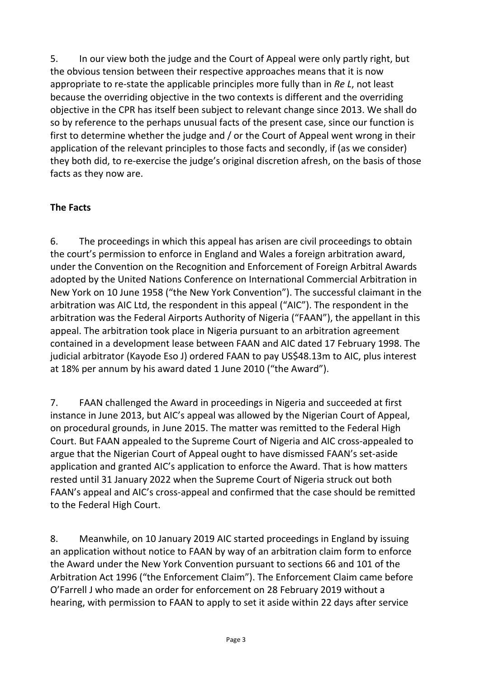5. In our view both the judge and the Court of Appeal were only partly right, but the obvious tension between their respective approaches means that it is now appropriate to re-state the applicable principles more fully than in *Re L*, not least because the overriding objective in the two contexts is different and the overriding objective in the CPR has itself been subject to relevant change since 2013. We shall do so by reference to the perhaps unusual facts of the present case, since our function is first to determine whether the judge and / or the Court of Appeal went wrong in their application of the relevant principles to those facts and secondly, if (as we consider) they both did, to re-exercise the judge's original discretion afresh, on the basis of those facts as they now are.

# **The Facts**

6. The proceedings in which this appeal has arisen are civil proceedings to obtain the court's permission to enforce in England and Wales a foreign arbitration award, under the Convention on the Recognition and Enforcement of Foreign Arbitral Awards adopted by the United Nations Conference on International Commercial Arbitration in New York on 10 June 1958 ("the New York Convention"). The successful claimant in the arbitration was AIC Ltd, the respondent in this appeal ("AIC"). The respondent in the arbitration was the Federal Airports Authority of Nigeria ("FAAN"), the appellant in this appeal. The arbitration took place in Nigeria pursuant to an arbitration agreement contained in a development lease between FAAN and AIC dated 17 February 1998. The judicial arbitrator (Kayode Eso J) ordered FAAN to pay US\$48.13m to AIC, plus interest at 18% per annum by his award dated 1 June 2010 ("the Award").

7. FAAN challenged the Award in proceedings in Nigeria and succeeded at first instance in June 2013, but AIC's appeal was allowed by the Nigerian Court of Appeal, on procedural grounds, in June 2015. The matter was remitted to the Federal High Court. But FAAN appealed to the Supreme Court of Nigeria and AIC cross-appealed to argue that the Nigerian Court of Appeal ought to have dismissed FAAN's set-aside application and granted AIC's application to enforce the Award. That is how matters rested until 31 January 2022 when the Supreme Court of Nigeria struck out both FAAN's appeal and AIC's cross-appeal and confirmed that the case should be remitted to the Federal High Court.

8. Meanwhile, on 10 January 2019 AIC started proceedings in England by issuing an application without notice to FAAN by way of an arbitration claim form to enforce the Award under the New York Convention pursuant to sections 66 and 101 of the Arbitration Act 1996 ("the Enforcement Claim"). The Enforcement Claim came before O'Farrell J who made an order for enforcement on 28 February 2019 without a hearing, with permission to FAAN to apply to set it aside within 22 days after service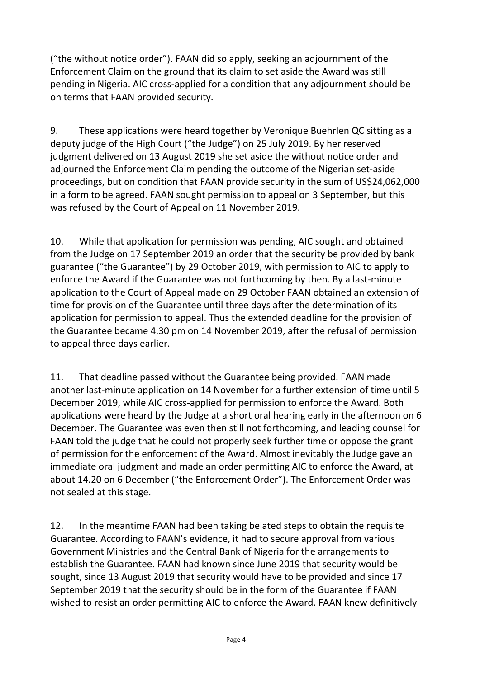("the without notice order"). FAAN did so apply, seeking an adjournment of the Enforcement Claim on the ground that its claim to set aside the Award was still pending in Nigeria. AIC cross-applied for a condition that any adjournment should be on terms that FAAN provided security.

9. These applications were heard together by Veronique Buehrlen QC sitting as a deputy judge of the High Court ("the Judge") on 25 July 2019. By her reserved judgment delivered on 13 August 2019 she set aside the without notice order and adjourned the Enforcement Claim pending the outcome of the Nigerian set-aside proceedings, but on condition that FAAN provide security in the sum of US\$24,062,000 in a form to be agreed. FAAN sought permission to appeal on 3 September, but this was refused by the Court of Appeal on 11 November 2019.

10. While that application for permission was pending, AIC sought and obtained from the Judge on 17 September 2019 an order that the security be provided by bank guarantee ("the Guarantee") by 29 October 2019, with permission to AIC to apply to enforce the Award if the Guarantee was not forthcoming by then. By a last-minute application to the Court of Appeal made on 29 October FAAN obtained an extension of time for provision of the Guarantee until three days after the determination of its application for permission to appeal. Thus the extended deadline for the provision of the Guarantee became 4.30 pm on 14 November 2019, after the refusal of permission to appeal three days earlier.

11. That deadline passed without the Guarantee being provided. FAAN made another last-minute application on 14 November for a further extension of time until 5 December 2019, while AIC cross-applied for permission to enforce the Award. Both applications were heard by the Judge at a short oral hearing early in the afternoon on 6 December. The Guarantee was even then still not forthcoming, and leading counsel for FAAN told the judge that he could not properly seek further time or oppose the grant of permission for the enforcement of the Award. Almost inevitably the Judge gave an immediate oral judgment and made an order permitting AIC to enforce the Award, at about 14.20 on 6 December ("the Enforcement Order"). The Enforcement Order was not sealed at this stage.

12. In the meantime FAAN had been taking belated steps to obtain the requisite Guarantee. According to FAAN's evidence, it had to secure approval from various Government Ministries and the Central Bank of Nigeria for the arrangements to establish the Guarantee. FAAN had known since June 2019 that security would be sought, since 13 August 2019 that security would have to be provided and since 17 September 2019 that the security should be in the form of the Guarantee if FAAN wished to resist an order permitting AIC to enforce the Award. FAAN knew definitively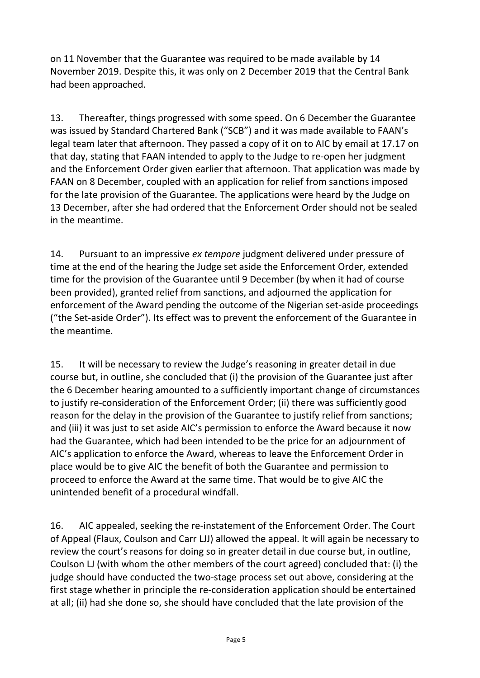on 11 November that the Guarantee was required to be made available by 14 November 2019. Despite this, it was only on 2 December 2019 that the Central Bank had been approached.

13. Thereafter, things progressed with some speed. On 6 December the Guarantee was issued by Standard Chartered Bank ("SCB") and it was made available to FAAN's legal team later that afternoon. They passed a copy of it on to AIC by email at 17.17 on that day, stating that FAAN intended to apply to the Judge to re-open her judgment and the Enforcement Order given earlier that afternoon. That application was made by FAAN on 8 December, coupled with an application for relief from sanctions imposed for the late provision of the Guarantee. The applications were heard by the Judge on 13 December, after she had ordered that the Enforcement Order should not be sealed in the meantime.

14. Pursuant to an impressive *ex tempore* judgment delivered under pressure of time at the end of the hearing the Judge set aside the Enforcement Order, extended time for the provision of the Guarantee until 9 December (by when it had of course been provided), granted relief from sanctions, and adjourned the application for enforcement of the Award pending the outcome of the Nigerian set-aside proceedings ("the Set-aside Order"). Its effect was to prevent the enforcement of the Guarantee in the meantime.

15. It will be necessary to review the Judge's reasoning in greater detail in due course but, in outline, she concluded that (i) the provision of the Guarantee just after the 6 December hearing amounted to a sufficiently important change of circumstances to justify re-consideration of the Enforcement Order; (ii) there was sufficiently good reason for the delay in the provision of the Guarantee to justify relief from sanctions; and (iii) it was just to set aside AIC's permission to enforce the Award because it now had the Guarantee, which had been intended to be the price for an adjournment of AIC's application to enforce the Award, whereas to leave the Enforcement Order in place would be to give AIC the benefit of both the Guarantee and permission to proceed to enforce the Award at the same time. That would be to give AIC the unintended benefit of a procedural windfall.

16. AIC appealed, seeking the re-instatement of the Enforcement Order. The Court of Appeal (Flaux, Coulson and Carr LJJ) allowed the appeal. It will again be necessary to review the court's reasons for doing so in greater detail in due course but, in outline, Coulson LJ (with whom the other members of the court agreed) concluded that: (i) the judge should have conducted the two-stage process set out above, considering at the first stage whether in principle the re-consideration application should be entertained at all; (ii) had she done so, she should have concluded that the late provision of the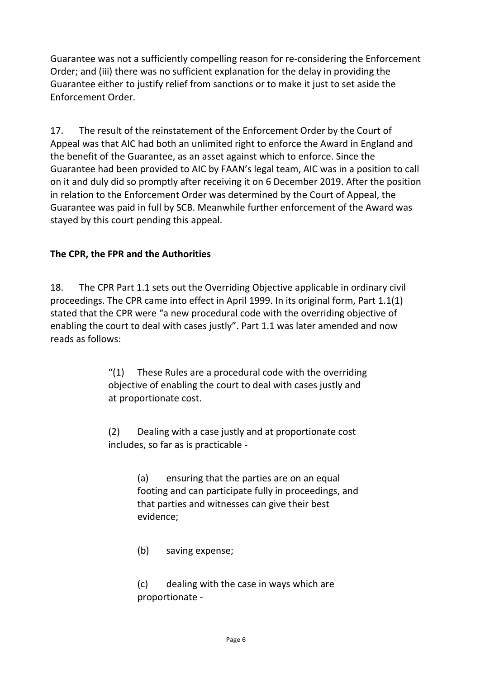Guarantee was not a sufficiently compelling reason for re-considering the Enforcement Order; and (iii) there was no sufficient explanation for the delay in providing the Guarantee either to justify relief from sanctions or to make it just to set aside the Enforcement Order.

17. The result of the reinstatement of the Enforcement Order by the Court of Appeal was that AIC had both an unlimited right to enforce the Award in England and the benefit of the Guarantee, as an asset against which to enforce. Since the Guarantee had been provided to AIC by FAAN's legal team, AIC was in a position to call on it and duly did so promptly after receiving it on 6 December 2019. After the position in relation to the Enforcement Order was determined by the Court of Appeal, the Guarantee was paid in full by SCB. Meanwhile further enforcement of the Award was stayed by this court pending this appeal.

#### **The CPR, the FPR and the Authorities**

18. The CPR Part 1.1 sets out the Overriding Objective applicable in ordinary civil proceedings. The CPR came into effect in April 1999. In its original form, Part 1.1(1) stated that the CPR were "a new procedural code with the overriding objective of enabling the court to deal with cases justly". Part 1.1 was later amended and now reads as follows:

> $''(1)$  These Rules are a procedural code with the overriding objective of enabling the court to deal with cases justly and at proportionate cost.

(2) Dealing with a case justly and at proportionate cost includes, so far as is practicable -

> (a) ensuring that the parties are on an equal footing and can participate fully in proceedings, and that parties and witnesses can give their best evidence;

(b) saving expense;

(c) dealing with the case in ways which are proportionate -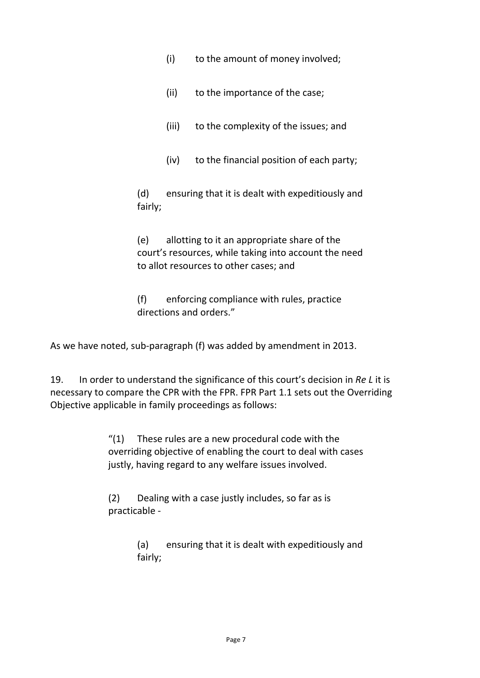- (i) to the amount of money involved;
- (ii) to the importance of the case;
- (iii) to the complexity of the issues; and
- (iv) to the financial position of each party;

(d) ensuring that it is dealt with expeditiously and fairly;

(e) allotting to it an appropriate share of the court's resources, while taking into account the need to allot resources to other cases; and

(f) enforcing compliance with rules, practice directions and orders."

As we have noted, sub-paragraph (f) was added by amendment in 2013.

19. In order to understand the significance of this court's decision in *Re L* it is necessary to compare the CPR with the FPR. FPR Part 1.1 sets out the Overriding Objective applicable in family proceedings as follows:

> " $(1)$  These rules are a new procedural code with the overriding objective of enabling the court to deal with cases justly, having regard to any welfare issues involved.

(2) Dealing with a case justly includes, so far as is practicable -

> (a) ensuring that it is dealt with expeditiously and fairly;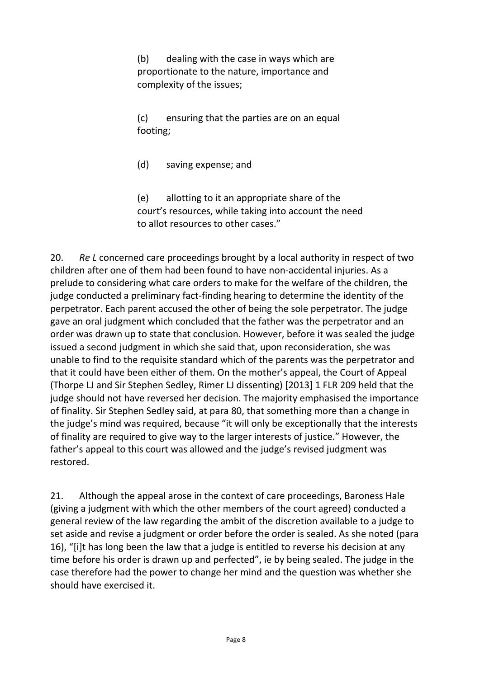(b) dealing with the case in ways which are proportionate to the nature, importance and complexity of the issues;

(c) ensuring that the parties are on an equal footing;

(d) saving expense; and

(e) allotting to it an appropriate share of the court's resources, while taking into account the need to allot resources to other cases."

20. *Re L* concerned care proceedings brought by a local authority in respect of two children after one of them had been found to have non-accidental injuries. As a prelude to considering what care orders to make for the welfare of the children, the judge conducted a preliminary fact-finding hearing to determine the identity of the perpetrator. Each parent accused the other of being the sole perpetrator. The judge gave an oral judgment which concluded that the father was the perpetrator and an order was drawn up to state that conclusion. However, before it was sealed the judge issued a second judgment in which she said that, upon reconsideration, she was unable to find to the requisite standard which of the parents was the perpetrator and that it could have been either of them. On the mother's appeal, the Court of Appeal (Thorpe LJ and Sir Stephen Sedley, Rimer LJ dissenting) [2013] 1 FLR 209 held that the judge should not have reversed her decision. The majority emphasised the importance of finality. Sir Stephen Sedley said, at para 80, that something more than a change in the judge's mind was required, because "it will only be exceptionally that the interests of finality are required to give way to the larger interests of justice." However, the father's appeal to this court was allowed and the judge's revised judgment was restored.

21. Although the appeal arose in the context of care proceedings, Baroness Hale (giving a judgment with which the other members of the court agreed) conducted a general review of the law regarding the ambit of the discretion available to a judge to set aside and revise a judgment or order before the order is sealed. As she noted (para 16), "[i]t has long been the law that a judge is entitled to reverse his decision at any time before his order is drawn up and perfected", ie by being sealed. The judge in the case therefore had the power to change her mind and the question was whether she should have exercised it.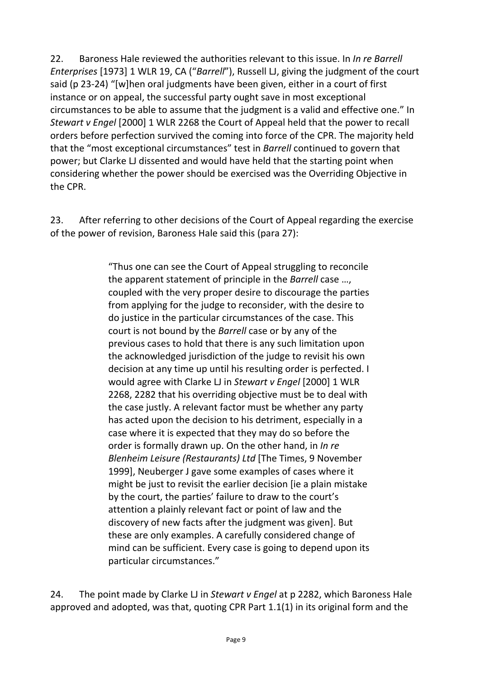22. Baroness Hale reviewed the authorities relevant to this issue. In *In re Barrell Enterprises* [1973] 1 WLR 19, CA ("*Barrell*"), Russell LJ, giving the judgment of the court said (p 23-24) "[w]hen oral judgments have been given, either in a court of first instance or on appeal, the successful party ought save in most exceptional circumstances to be able to assume that the judgment is a valid and effective one." In *Stewart v Engel* [2000] 1 WLR 2268 the Court of Appeal held that the power to recall orders before perfection survived the coming into force of the CPR. The majority held that the "most exceptional circumstances" test in *Barrell* continued to govern that power; but Clarke LJ dissented and would have held that the starting point when considering whether the power should be exercised was the Overriding Objective in the CPR.

23. After referring to other decisions of the Court of Appeal regarding the exercise of the power of revision, Baroness Hale said this (para 27):

> "Thus one can see the Court of Appeal struggling to reconcile the apparent statement of principle in the *Barrell* case …, coupled with the very proper desire to discourage the parties from applying for the judge to reconsider, with the desire to do justice in the particular circumstances of the case. This court is not bound by the *Barrell* case or by any of the previous cases to hold that there is any such limitation upon the acknowledged jurisdiction of the judge to revisit his own decision at any time up until his resulting order is perfected. I would agree with Clarke LJ in *Stewart v Engel* [2000] 1 WLR 2268, 2282 that his overriding objective must be to deal with the case justly. A relevant factor must be whether any party has acted upon the decision to his detriment, especially in a case where it is expected that they may do so before the order is formally drawn up. On the other hand, in *In re Blenheim Leisure (Restaurants) Ltd* [The Times, 9 November 1999], Neuberger J gave some examples of cases where it might be just to revisit the earlier decision [ie a plain mistake by the court, the parties' failure to draw to the court's attention a plainly relevant fact or point of law and the discovery of new facts after the judgment was given]. But these are only examples. A carefully considered change of mind can be sufficient. Every case is going to depend upon its particular circumstances."

24. The point made by Clarke LJ in *Stewart v Engel* at p 2282, which Baroness Hale approved and adopted, was that, quoting CPR Part 1.1(1) in its original form and the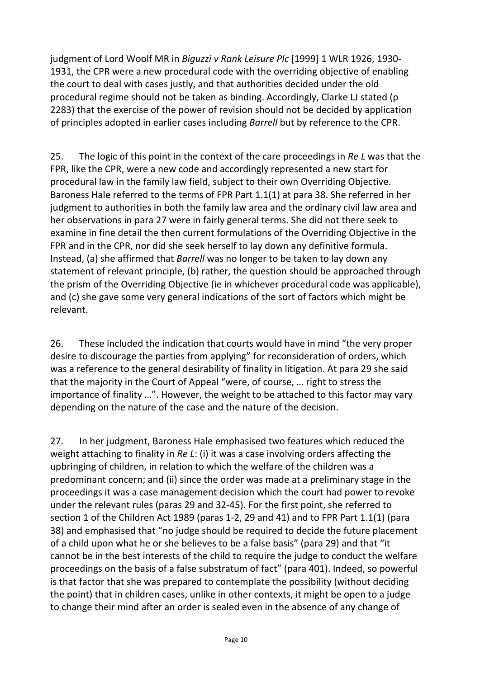judgment of Lord Woolf MR in *Biguzzi v Rank Leisure Plc* [1999] 1 WLR 1926, 1930- 1931, the CPR were a new procedural code with the overriding objective of enabling the court to deal with cases justly, and that authorities decided under the old procedural regime should not be taken as binding. Accordingly, Clarke LJ stated (p 2283) that the exercise of the power of revision should not be decided by application of principles adopted in earlier cases including *Barrell* but by reference to the CPR.

25. The logic of this point in the context of the care proceedings in *Re L* was that the FPR, like the CPR, were a new code and accordingly represented a new start for procedural law in the family law field, subject to their own Overriding Objective. Baroness Hale referred to the terms of FPR Part 1.1(1) at para 38. She referred in her judgment to authorities in both the family law area and the ordinary civil law area and her observations in para 27 were in fairly general terms. She did not there seek to examine in fine detail the then current formulations of the Overriding Objective in the FPR and in the CPR, nor did she seek herself to lay down any definitive formula. Instead, (a) she affirmed that *Barrell* was no longer to be taken to lay down any statement of relevant principle, (b) rather, the question should be approached through the prism of the Overriding Objective (ie in whichever procedural code was applicable), and (c) she gave some very general indications of the sort of factors which might be relevant.

26. These included the indication that courts would have in mind "the very proper desire to discourage the parties from applying" for reconsideration of orders, which was a reference to the general desirability of finality in litigation. At para 29 she said that the majority in the Court of Appeal "were, of course, … right to stress the importance of finality …". However, the weight to be attached to this factor may vary depending on the nature of the case and the nature of the decision.

27. In her judgment, Baroness Hale emphasised two features which reduced the weight attaching to finality in *Re L*: (i) it was a case involving orders affecting the upbringing of children, in relation to which the welfare of the children was a predominant concern; and (ii) since the order was made at a preliminary stage in the proceedings it was a case management decision which the court had power to revoke under the relevant rules (paras 29 and 32-45). For the first point, she referred to section 1 of the Children Act 1989 (paras 1-2, 29 and 41) and to FPR Part 1.1(1) (para 38) and emphasised that "no judge should be required to decide the future placement of a child upon what he or she believes to be a false basis" (para 29) and that "it cannot be in the best interests of the child to require the judge to conduct the welfare proceedings on the basis of a false substratum of fact" (para 401). Indeed, so powerful is that factor that she was prepared to contemplate the possibility (without deciding the point) that in children cases, unlike in other contexts, it might be open to a judge to change their mind after an order is sealed even in the absence of any change of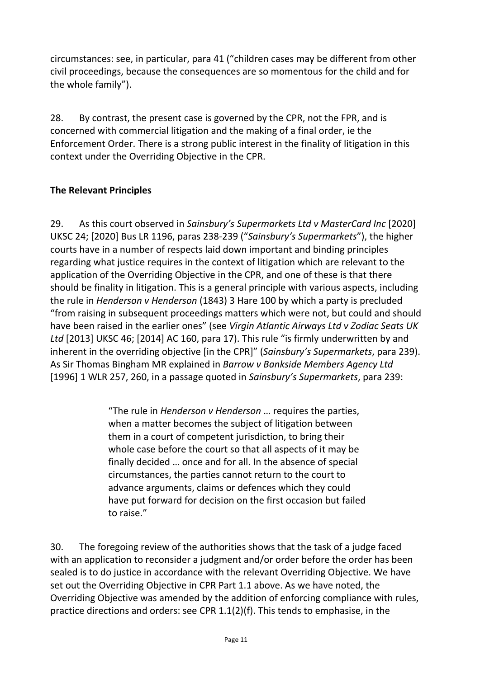circumstances: see, in particular, para 41 ("children cases may be different from other civil proceedings, because the consequences are so momentous for the child and for the whole family").

28. By contrast, the present case is governed by the CPR, not the FPR, and is concerned with commercial litigation and the making of a final order, ie the Enforcement Order. There is a strong public interest in the finality of litigation in this context under the Overriding Objective in the CPR.

## **The Relevant Principles**

29. As this court observed in *Sainsbury's Supermarkets Ltd v MasterCard Inc* [2020] UKSC 24; [2020] Bus LR 1196, paras 238-239 ("*Sainsbury's Supermarkets*"), the higher courts have in a number of respects laid down important and binding principles regarding what justice requires in the context of litigation which are relevant to the application of the Overriding Objective in the CPR, and one of these is that there should be finality in litigation. This is a general principle with various aspects, including the rule in *Henderson v Henderson* (1843) 3 Hare 100 by which a party is precluded "from raising in subsequent proceedings matters which were not, but could and should have been raised in the earlier ones" (see *Virgin Atlantic Airways Ltd v Zodiac Seats UK Ltd* [2013] UKSC 46; [2014] AC 160, para 17). This rule "is firmly underwritten by and inherent in the overriding objective [in the CPR]" (*Sainsbury's Supermarkets*, para 239). As Sir Thomas Bingham MR explained in *Barrow v Bankside Members Agency Ltd*  [1996] 1 WLR 257, 260, in a passage quoted in *Sainsbury's Supermarkets*, para 239:

> "The rule in *Henderson v Henderson* … requires the parties, when a matter becomes the subject of litigation between them in a court of competent jurisdiction, to bring their whole case before the court so that all aspects of it may be finally decided … once and for all. In the absence of special circumstances, the parties cannot return to the court to advance arguments, claims or defences which they could have put forward for decision on the first occasion but failed to raise."

30. The foregoing review of the authorities shows that the task of a judge faced with an application to reconsider a judgment and/or order before the order has been sealed is to do justice in accordance with the relevant Overriding Objective. We have set out the Overriding Objective in CPR Part 1.1 above. As we have noted, the Overriding Objective was amended by the addition of enforcing compliance with rules, practice directions and orders: see CPR 1.1(2)(f). This tends to emphasise, in the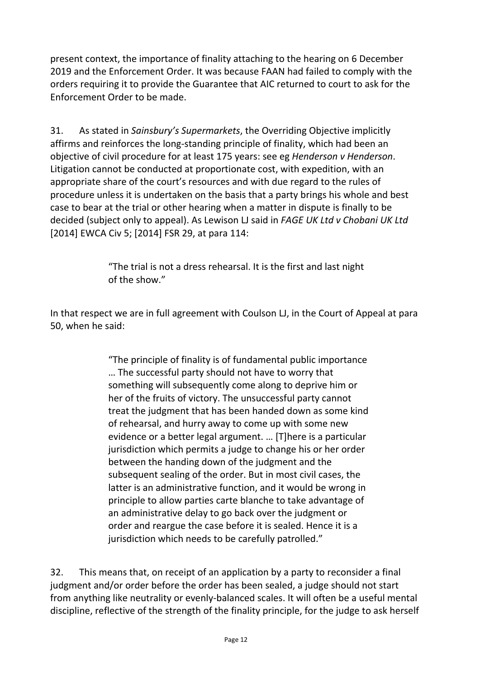present context, the importance of finality attaching to the hearing on 6 December 2019 and the Enforcement Order. It was because FAAN had failed to comply with the orders requiring it to provide the Guarantee that AIC returned to court to ask for the Enforcement Order to be made.

31. As stated in *Sainsbury's Supermarkets*, the Overriding Objective implicitly affirms and reinforces the long-standing principle of finality, which had been an objective of civil procedure for at least 175 years: see eg *Henderson v Henderson*. Litigation cannot be conducted at proportionate cost, with expedition, with an appropriate share of the court's resources and with due regard to the rules of procedure unless it is undertaken on the basis that a party brings his whole and best case to bear at the trial or other hearing when a matter in dispute is finally to be decided (subject only to appeal). As Lewison LJ said in *FAGE UK Ltd v Chobani UK Ltd*  [2014] EWCA Civ 5; [2014] FSR 29, at para 114:

> "The trial is not a dress rehearsal. It is the first and last night of the show."

In that respect we are in full agreement with Coulson LJ, in the Court of Appeal at para 50, when he said:

> "The principle of finality is of fundamental public importance … The successful party should not have to worry that something will subsequently come along to deprive him or her of the fruits of victory. The unsuccessful party cannot treat the judgment that has been handed down as some kind of rehearsal, and hurry away to come up with some new evidence or a better legal argument. … [T]here is a particular jurisdiction which permits a judge to change his or her order between the handing down of the judgment and the subsequent sealing of the order. But in most civil cases, the latter is an administrative function, and it would be wrong in principle to allow parties carte blanche to take advantage of an administrative delay to go back over the judgment or order and reargue the case before it is sealed. Hence it is a jurisdiction which needs to be carefully patrolled."

32. This means that, on receipt of an application by a party to reconsider a final judgment and/or order before the order has been sealed, a judge should not start from anything like neutrality or evenly-balanced scales. It will often be a useful mental discipline, reflective of the strength of the finality principle, for the judge to ask herself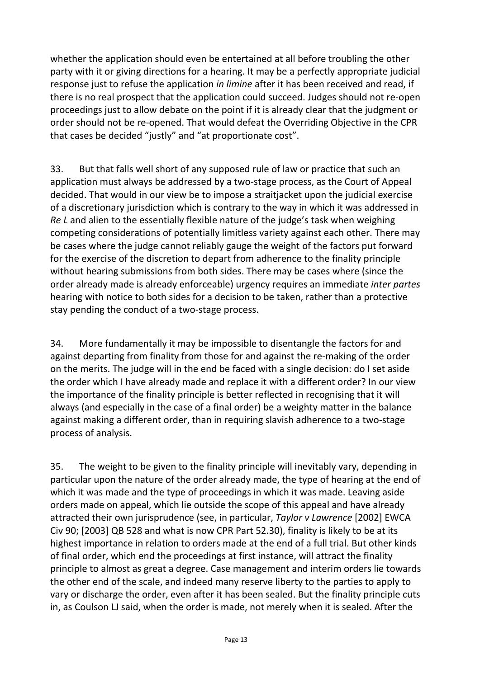whether the application should even be entertained at all before troubling the other party with it or giving directions for a hearing. It may be a perfectly appropriate judicial response just to refuse the application *in limine* after it has been received and read, if there is no real prospect that the application could succeed. Judges should not re-open proceedings just to allow debate on the point if it is already clear that the judgment or order should not be re-opened. That would defeat the Overriding Objective in the CPR that cases be decided "justly" and "at proportionate cost".

33. But that falls well short of any supposed rule of law or practice that such an application must always be addressed by a two-stage process, as the Court of Appeal decided. That would in our view be to impose a straitjacket upon the judicial exercise of a discretionary jurisdiction which is contrary to the way in which it was addressed in *Re L* and alien to the essentially flexible nature of the judge's task when weighing competing considerations of potentially limitless variety against each other. There may be cases where the judge cannot reliably gauge the weight of the factors put forward for the exercise of the discretion to depart from adherence to the finality principle without hearing submissions from both sides. There may be cases where (since the order already made is already enforceable) urgency requires an immediate *inter partes*  hearing with notice to both sides for a decision to be taken, rather than a protective stay pending the conduct of a two-stage process.

34. More fundamentally it may be impossible to disentangle the factors for and against departing from finality from those for and against the re-making of the order on the merits. The judge will in the end be faced with a single decision: do I set aside the order which I have already made and replace it with a different order? In our view the importance of the finality principle is better reflected in recognising that it will always (and especially in the case of a final order) be a weighty matter in the balance against making a different order, than in requiring slavish adherence to a two-stage process of analysis.

35. The weight to be given to the finality principle will inevitably vary, depending in particular upon the nature of the order already made, the type of hearing at the end of which it was made and the type of proceedings in which it was made. Leaving aside orders made on appeal, which lie outside the scope of this appeal and have already attracted their own jurisprudence (see, in particular, *Taylor v Lawrence* [2002] EWCA Civ 90; [2003] QB 528 and what is now CPR Part 52.30), finality is likely to be at its highest importance in relation to orders made at the end of a full trial. But other kinds of final order, which end the proceedings at first instance, will attract the finality principle to almost as great a degree. Case management and interim orders lie towards the other end of the scale, and indeed many reserve liberty to the parties to apply to vary or discharge the order, even after it has been sealed. But the finality principle cuts in, as Coulson LJ said, when the order is made, not merely when it is sealed. After the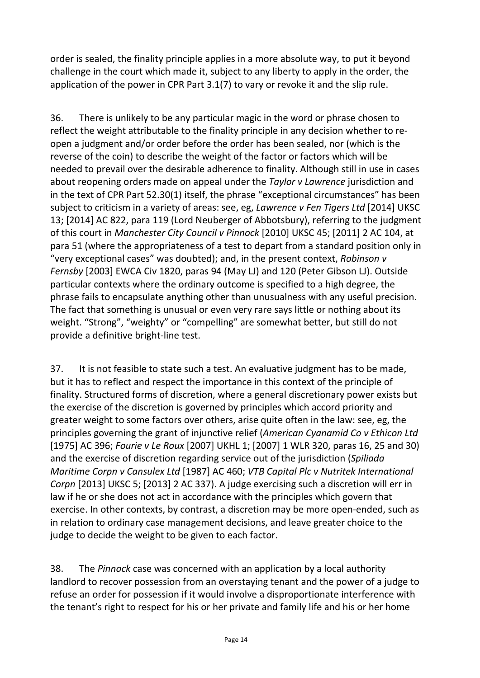order is sealed, the finality principle applies in a more absolute way, to put it beyond challenge in the court which made it, subject to any liberty to apply in the order, the application of the power in CPR Part 3.1(7) to vary or revoke it and the slip rule.

36. There is unlikely to be any particular magic in the word or phrase chosen to reflect the weight attributable to the finality principle in any decision whether to reopen a judgment and/or order before the order has been sealed, nor (which is the reverse of the coin) to describe the weight of the factor or factors which will be needed to prevail over the desirable adherence to finality. Although still in use in cases about reopening orders made on appeal under the *Taylor v Lawrence* jurisdiction and in the text of CPR Part 52.30(1) itself, the phrase "exceptional circumstances" has been subject to criticism in a variety of areas: see, eg, *Lawrence v Fen Tigers Ltd* [2014] UKSC 13; [2014] AC 822, para 119 (Lord Neuberger of Abbotsbury), referring to the judgment of this court in *Manchester City Council v Pinnock* [2010] UKSC 45; [2011] 2 AC 104, at para 51 (where the appropriateness of a test to depart from a standard position only in "very exceptional cases" was doubted); and, in the present context, *Robinson v Fernsby* [2003] EWCA Civ 1820, paras 94 (May LJ) and 120 (Peter Gibson LJ). Outside particular contexts where the ordinary outcome is specified to a high degree, the phrase fails to encapsulate anything other than unusualness with any useful precision. The fact that something is unusual or even very rare says little or nothing about its weight. "Strong", "weighty" or "compelling" are somewhat better, but still do not provide a definitive bright-line test.

37. It is not feasible to state such a test. An evaluative judgment has to be made, but it has to reflect and respect the importance in this context of the principle of finality. Structured forms of discretion, where a general discretionary power exists but the exercise of the discretion is governed by principles which accord priority and greater weight to some factors over others, arise quite often in the law: see, eg, the principles governing the grant of injunctive relief (*American Cyanamid Co v Ethicon Ltd*  [1975] AC 396; *Fourie v Le Roux* [2007] UKHL 1; [2007] 1 WLR 320, paras 16, 25 and 30) and the exercise of discretion regarding service out of the jurisdiction (*Spiliada Maritime Corpn v Cansulex Ltd* [1987] AC 460; *VTB Capital Plc v Nutritek International Corpn* [2013] UKSC 5; [2013] 2 AC 337). A judge exercising such a discretion will err in law if he or she does not act in accordance with the principles which govern that exercise. In other contexts, by contrast, a discretion may be more open-ended, such as in relation to ordinary case management decisions, and leave greater choice to the judge to decide the weight to be given to each factor.

38. The *Pinnock* case was concerned with an application by a local authority landlord to recover possession from an overstaying tenant and the power of a judge to refuse an order for possession if it would involve a disproportionate interference with the tenant's right to respect for his or her private and family life and his or her home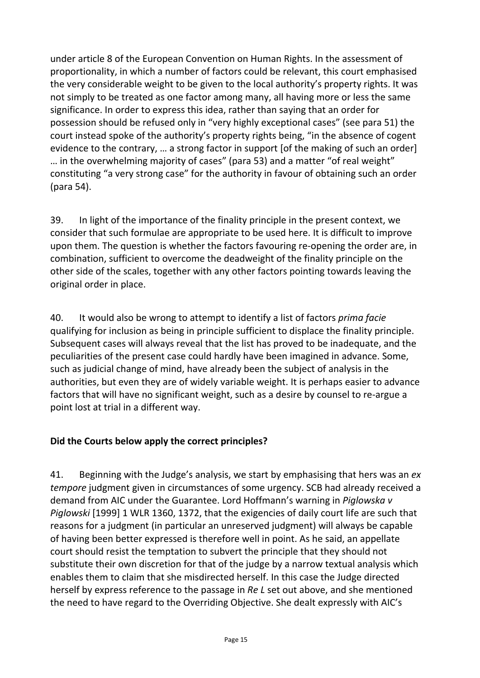under article 8 of the European Convention on Human Rights. In the assessment of proportionality, in which a number of factors could be relevant, this court emphasised the very considerable weight to be given to the local authority's property rights. It was not simply to be treated as one factor among many, all having more or less the same significance. In order to express this idea, rather than saying that an order for possession should be refused only in "very highly exceptional cases" (see para 51) the court instead spoke of the authority's property rights being, "in the absence of cogent evidence to the contrary, … a strong factor in support [of the making of such an order] … in the overwhelming majority of cases" (para 53) and a matter "of real weight" constituting "a very strong case" for the authority in favour of obtaining such an order (para 54).

39. In light of the importance of the finality principle in the present context, we consider that such formulae are appropriate to be used here. It is difficult to improve upon them. The question is whether the factors favouring re-opening the order are, in combination, sufficient to overcome the deadweight of the finality principle on the other side of the scales, together with any other factors pointing towards leaving the original order in place.

40. It would also be wrong to attempt to identify a list of factors *prima facie* qualifying for inclusion as being in principle sufficient to displace the finality principle. Subsequent cases will always reveal that the list has proved to be inadequate, and the peculiarities of the present case could hardly have been imagined in advance. Some, such as judicial change of mind, have already been the subject of analysis in the authorities, but even they are of widely variable weight. It is perhaps easier to advance factors that will have no significant weight, such as a desire by counsel to re-argue a point lost at trial in a different way.

#### **Did the Courts below apply the correct principles?**

41. Beginning with the Judge's analysis, we start by emphasising that hers was an *ex tempore* judgment given in circumstances of some urgency. SCB had already received a demand from AIC under the Guarantee. Lord Hoffmann's warning in *Piglowska v Piglowski* [1999] 1 WLR 1360, 1372, that the exigencies of daily court life are such that reasons for a judgment (in particular an unreserved judgment) will always be capable of having been better expressed is therefore well in point. As he said, an appellate court should resist the temptation to subvert the principle that they should not substitute their own discretion for that of the judge by a narrow textual analysis which enables them to claim that she misdirected herself. In this case the Judge directed herself by express reference to the passage in *Re L* set out above, and she mentioned the need to have regard to the Overriding Objective. She dealt expressly with AIC's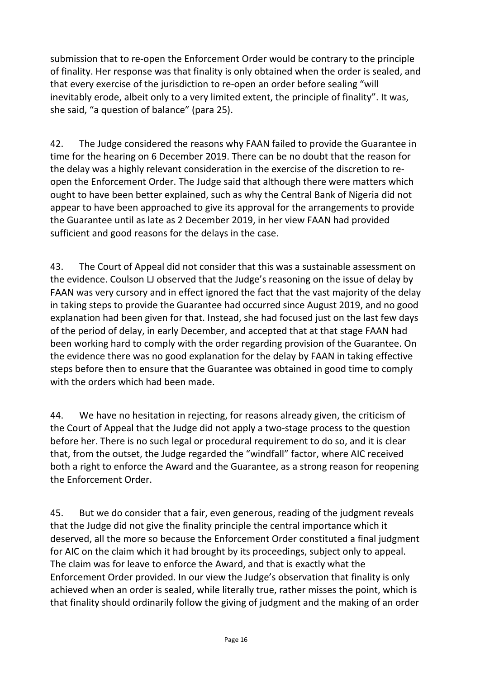submission that to re-open the Enforcement Order would be contrary to the principle of finality. Her response was that finality is only obtained when the order is sealed, and that every exercise of the jurisdiction to re-open an order before sealing "will inevitably erode, albeit only to a very limited extent, the principle of finality". It was, she said, "a question of balance" (para 25).

42. The Judge considered the reasons why FAAN failed to provide the Guarantee in time for the hearing on 6 December 2019. There can be no doubt that the reason for the delay was a highly relevant consideration in the exercise of the discretion to reopen the Enforcement Order. The Judge said that although there were matters which ought to have been better explained, such as why the Central Bank of Nigeria did not appear to have been approached to give its approval for the arrangements to provide the Guarantee until as late as 2 December 2019, in her view FAAN had provided sufficient and good reasons for the delays in the case.

43. The Court of Appeal did not consider that this was a sustainable assessment on the evidence. Coulson LJ observed that the Judge's reasoning on the issue of delay by FAAN was very cursory and in effect ignored the fact that the vast majority of the delay in taking steps to provide the Guarantee had occurred since August 2019, and no good explanation had been given for that. Instead, she had focused just on the last few days of the period of delay, in early December, and accepted that at that stage FAAN had been working hard to comply with the order regarding provision of the Guarantee. On the evidence there was no good explanation for the delay by FAAN in taking effective steps before then to ensure that the Guarantee was obtained in good time to comply with the orders which had been made.

44. We have no hesitation in rejecting, for reasons already given, the criticism of the Court of Appeal that the Judge did not apply a two-stage process to the question before her. There is no such legal or procedural requirement to do so, and it is clear that, from the outset, the Judge regarded the "windfall" factor, where AIC received both a right to enforce the Award and the Guarantee, as a strong reason for reopening the Enforcement Order.

45. But we do consider that a fair, even generous, reading of the judgment reveals that the Judge did not give the finality principle the central importance which it deserved, all the more so because the Enforcement Order constituted a final judgment for AIC on the claim which it had brought by its proceedings, subject only to appeal. The claim was for leave to enforce the Award, and that is exactly what the Enforcement Order provided. In our view the Judge's observation that finality is only achieved when an order is sealed, while literally true, rather misses the point, which is that finality should ordinarily follow the giving of judgment and the making of an order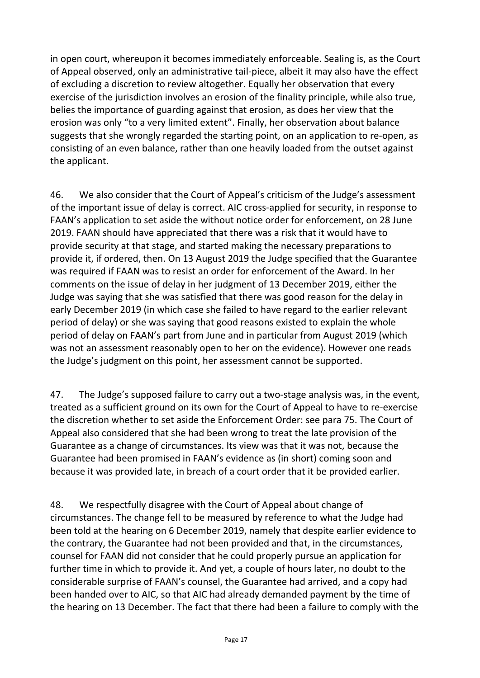in open court, whereupon it becomes immediately enforceable. Sealing is, as the Court of Appeal observed, only an administrative tail-piece, albeit it may also have the effect of excluding a discretion to review altogether. Equally her observation that every exercise of the jurisdiction involves an erosion of the finality principle, while also true, belies the importance of guarding against that erosion, as does her view that the erosion was only "to a very limited extent". Finally, her observation about balance suggests that she wrongly regarded the starting point, on an application to re-open, as consisting of an even balance, rather than one heavily loaded from the outset against the applicant.

46. We also consider that the Court of Appeal's criticism of the Judge's assessment of the important issue of delay is correct. AIC cross-applied for security, in response to FAAN's application to set aside the without notice order for enforcement, on 28 June 2019. FAAN should have appreciated that there was a risk that it would have to provide security at that stage, and started making the necessary preparations to provide it, if ordered, then. On 13 August 2019 the Judge specified that the Guarantee was required if FAAN was to resist an order for enforcement of the Award. In her comments on the issue of delay in her judgment of 13 December 2019, either the Judge was saying that she was satisfied that there was good reason for the delay in early December 2019 (in which case she failed to have regard to the earlier relevant period of delay) or she was saying that good reasons existed to explain the whole period of delay on FAAN's part from June and in particular from August 2019 (which was not an assessment reasonably open to her on the evidence). However one reads the Judge's judgment on this point, her assessment cannot be supported.

47. The Judge's supposed failure to carry out a two-stage analysis was, in the event, treated as a sufficient ground on its own for the Court of Appeal to have to re-exercise the discretion whether to set aside the Enforcement Order: see para 75. The Court of Appeal also considered that she had been wrong to treat the late provision of the Guarantee as a change of circumstances. Its view was that it was not, because the Guarantee had been promised in FAAN's evidence as (in short) coming soon and because it was provided late, in breach of a court order that it be provided earlier.

48. We respectfully disagree with the Court of Appeal about change of circumstances. The change fell to be measured by reference to what the Judge had been told at the hearing on 6 December 2019, namely that despite earlier evidence to the contrary, the Guarantee had not been provided and that, in the circumstances, counsel for FAAN did not consider that he could properly pursue an application for further time in which to provide it. And yet, a couple of hours later, no doubt to the considerable surprise of FAAN's counsel, the Guarantee had arrived, and a copy had been handed over to AIC, so that AIC had already demanded payment by the time of the hearing on 13 December. The fact that there had been a failure to comply with the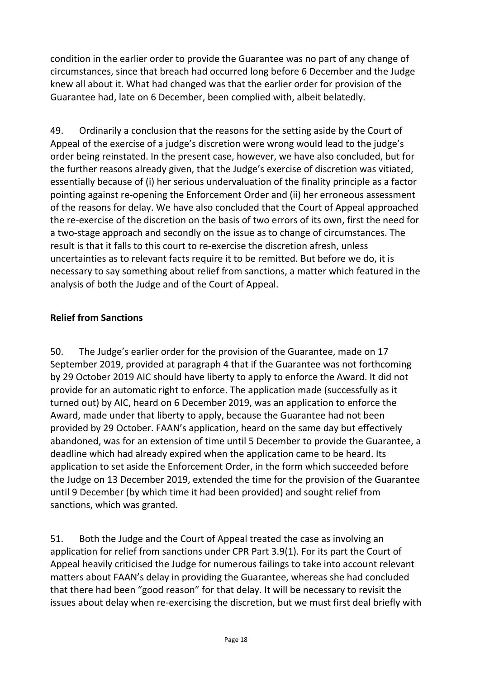condition in the earlier order to provide the Guarantee was no part of any change of circumstances, since that breach had occurred long before 6 December and the Judge knew all about it. What had changed was that the earlier order for provision of the Guarantee had, late on 6 December, been complied with, albeit belatedly.

49. Ordinarily a conclusion that the reasons for the setting aside by the Court of Appeal of the exercise of a judge's discretion were wrong would lead to the judge's order being reinstated. In the present case, however, we have also concluded, but for the further reasons already given, that the Judge's exercise of discretion was vitiated, essentially because of (i) her serious undervaluation of the finality principle as a factor pointing against re-opening the Enforcement Order and (ii) her erroneous assessment of the reasons for delay. We have also concluded that the Court of Appeal approached the re-exercise of the discretion on the basis of two errors of its own, first the need for a two-stage approach and secondly on the issue as to change of circumstances. The result is that it falls to this court to re-exercise the discretion afresh, unless uncertainties as to relevant facts require it to be remitted. But before we do, it is necessary to say something about relief from sanctions, a matter which featured in the analysis of both the Judge and of the Court of Appeal.

## **Relief from Sanctions**

50. The Judge's earlier order for the provision of the Guarantee, made on 17 September 2019, provided at paragraph 4 that if the Guarantee was not forthcoming by 29 October 2019 AIC should have liberty to apply to enforce the Award. It did not provide for an automatic right to enforce. The application made (successfully as it turned out) by AIC, heard on 6 December 2019, was an application to enforce the Award, made under that liberty to apply, because the Guarantee had not been provided by 29 October. FAAN's application, heard on the same day but effectively abandoned, was for an extension of time until 5 December to provide the Guarantee, a deadline which had already expired when the application came to be heard. Its application to set aside the Enforcement Order, in the form which succeeded before the Judge on 13 December 2019, extended the time for the provision of the Guarantee until 9 December (by which time it had been provided) and sought relief from sanctions, which was granted.

51. Both the Judge and the Court of Appeal treated the case as involving an application for relief from sanctions under CPR Part 3.9(1). For its part the Court of Appeal heavily criticised the Judge for numerous failings to take into account relevant matters about FAAN's delay in providing the Guarantee, whereas she had concluded that there had been "good reason" for that delay. It will be necessary to revisit the issues about delay when re-exercising the discretion, but we must first deal briefly with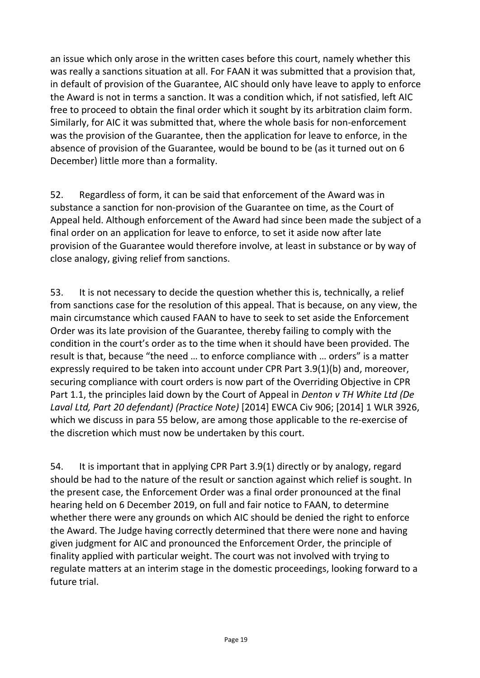an issue which only arose in the written cases before this court, namely whether this was really a sanctions situation at all. For FAAN it was submitted that a provision that, in default of provision of the Guarantee, AIC should only have leave to apply to enforce the Award is not in terms a sanction. It was a condition which, if not satisfied, left AIC free to proceed to obtain the final order which it sought by its arbitration claim form. Similarly, for AIC it was submitted that, where the whole basis for non-enforcement was the provision of the Guarantee, then the application for leave to enforce, in the absence of provision of the Guarantee, would be bound to be (as it turned out on 6 December) little more than a formality.

52. Regardless of form, it can be said that enforcement of the Award was in substance a sanction for non-provision of the Guarantee on time, as the Court of Appeal held. Although enforcement of the Award had since been made the subject of a final order on an application for leave to enforce, to set it aside now after late provision of the Guarantee would therefore involve, at least in substance or by way of close analogy, giving relief from sanctions.

53. It is not necessary to decide the question whether this is, technically, a relief from sanctions case for the resolution of this appeal. That is because, on any view, the main circumstance which caused FAAN to have to seek to set aside the Enforcement Order was its late provision of the Guarantee, thereby failing to comply with the condition in the court's order as to the time when it should have been provided. The result is that, because "the need … to enforce compliance with … orders" is a matter expressly required to be taken into account under CPR Part 3.9(1)(b) and, moreover, securing compliance with court orders is now part of the Overriding Objective in CPR Part 1.1, the principles laid down by the Court of Appeal in *Denton v TH White Ltd (De Laval Ltd, Part 20 defendant) (Practice Note)* [2014] EWCA Civ 906; [2014] 1 WLR 3926, which we discuss in para 55 below, are among those applicable to the re-exercise of the discretion which must now be undertaken by this court.

54. It is important that in applying CPR Part 3.9(1) directly or by analogy, regard should be had to the nature of the result or sanction against which relief is sought. In the present case, the Enforcement Order was a final order pronounced at the final hearing held on 6 December 2019, on full and fair notice to FAAN, to determine whether there were any grounds on which AIC should be denied the right to enforce the Award. The Judge having correctly determined that there were none and having given judgment for AIC and pronounced the Enforcement Order, the principle of finality applied with particular weight. The court was not involved with trying to regulate matters at an interim stage in the domestic proceedings, looking forward to a future trial.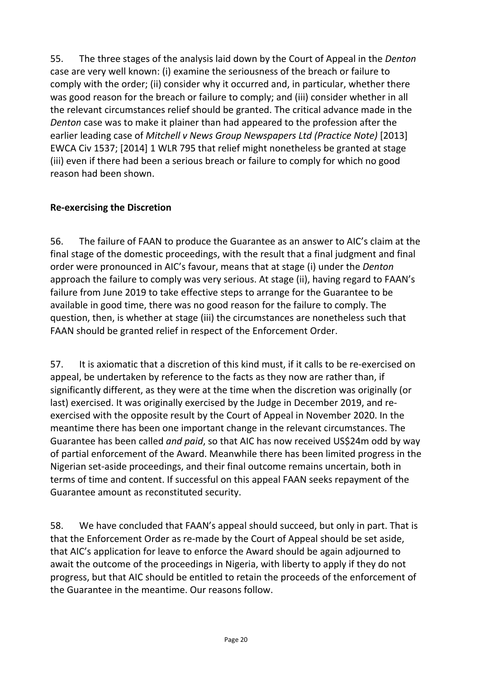55. The three stages of the analysis laid down by the Court of Appeal in the *Denton*  case are very well known: (i) examine the seriousness of the breach or failure to comply with the order; (ii) consider why it occurred and, in particular, whether there was good reason for the breach or failure to comply; and (iii) consider whether in all the relevant circumstances relief should be granted. The critical advance made in the *Denton* case was to make it plainer than had appeared to the profession after the earlier leading case of *Mitchell v News Group Newspapers Ltd (Practice Note)* [2013] EWCA Civ 1537; [2014] 1 WLR 795 that relief might nonetheless be granted at stage (iii) even if there had been a serious breach or failure to comply for which no good reason had been shown.

#### **Re-exercising the Discretion**

56. The failure of FAAN to produce the Guarantee as an answer to AIC's claim at the final stage of the domestic proceedings, with the result that a final judgment and final order were pronounced in AIC's favour, means that at stage (i) under the *Denton*  approach the failure to comply was very serious. At stage (ii), having regard to FAAN's failure from June 2019 to take effective steps to arrange for the Guarantee to be available in good time, there was no good reason for the failure to comply. The question, then, is whether at stage (iii) the circumstances are nonetheless such that FAAN should be granted relief in respect of the Enforcement Order.

57. It is axiomatic that a discretion of this kind must, if it calls to be re-exercised on appeal, be undertaken by reference to the facts as they now are rather than, if significantly different, as they were at the time when the discretion was originally (or last) exercised. It was originally exercised by the Judge in December 2019, and reexercised with the opposite result by the Court of Appeal in November 2020. In the meantime there has been one important change in the relevant circumstances. The Guarantee has been called *and paid*, so that AIC has now received US\$24m odd by way of partial enforcement of the Award. Meanwhile there has been limited progress in the Nigerian set-aside proceedings, and their final outcome remains uncertain, both in terms of time and content. If successful on this appeal FAAN seeks repayment of the Guarantee amount as reconstituted security.

58. We have concluded that FAAN's appeal should succeed, but only in part. That is that the Enforcement Order as re-made by the Court of Appeal should be set aside, that AIC's application for leave to enforce the Award should be again adjourned to await the outcome of the proceedings in Nigeria, with liberty to apply if they do not progress, but that AIC should be entitled to retain the proceeds of the enforcement of the Guarantee in the meantime. Our reasons follow.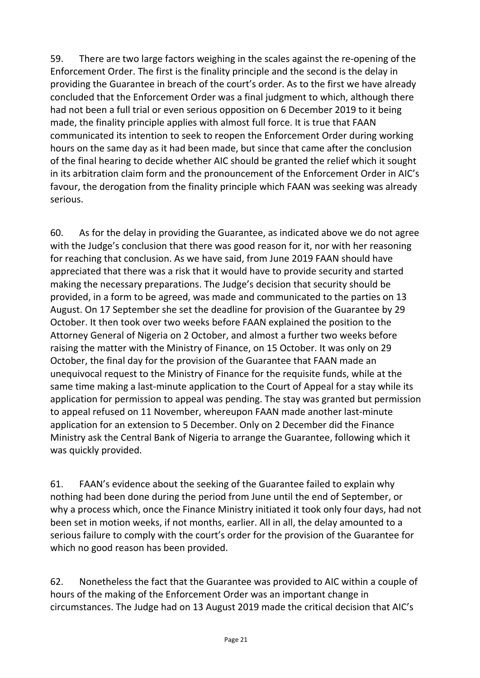59. There are two large factors weighing in the scales against the re-opening of the Enforcement Order. The first is the finality principle and the second is the delay in providing the Guarantee in breach of the court's order. As to the first we have already concluded that the Enforcement Order was a final judgment to which, although there had not been a full trial or even serious opposition on 6 December 2019 to it being made, the finality principle applies with almost full force. It is true that FAAN communicated its intention to seek to reopen the Enforcement Order during working hours on the same day as it had been made, but since that came after the conclusion of the final hearing to decide whether AIC should be granted the relief which it sought in its arbitration claim form and the pronouncement of the Enforcement Order in AIC's favour, the derogation from the finality principle which FAAN was seeking was already serious.

60. As for the delay in providing the Guarantee, as indicated above we do not agree with the Judge's conclusion that there was good reason for it, nor with her reasoning for reaching that conclusion. As we have said, from June 2019 FAAN should have appreciated that there was a risk that it would have to provide security and started making the necessary preparations. The Judge's decision that security should be provided, in a form to be agreed, was made and communicated to the parties on 13 August. On 17 September she set the deadline for provision of the Guarantee by 29 October. It then took over two weeks before FAAN explained the position to the Attorney General of Nigeria on 2 October, and almost a further two weeks before raising the matter with the Ministry of Finance, on 15 October. It was only on 29 October, the final day for the provision of the Guarantee that FAAN made an unequivocal request to the Ministry of Finance for the requisite funds, while at the same time making a last-minute application to the Court of Appeal for a stay while its application for permission to appeal was pending. The stay was granted but permission to appeal refused on 11 November, whereupon FAAN made another last-minute application for an extension to 5 December. Only on 2 December did the Finance Ministry ask the Central Bank of Nigeria to arrange the Guarantee, following which it was quickly provided.

61. FAAN's evidence about the seeking of the Guarantee failed to explain why nothing had been done during the period from June until the end of September, or why a process which, once the Finance Ministry initiated it took only four days, had not been set in motion weeks, if not months, earlier. All in all, the delay amounted to a serious failure to comply with the court's order for the provision of the Guarantee for which no good reason has been provided.

62. Nonetheless the fact that the Guarantee was provided to AIC within a couple of hours of the making of the Enforcement Order was an important change in circumstances. The Judge had on 13 August 2019 made the critical decision that AIC's